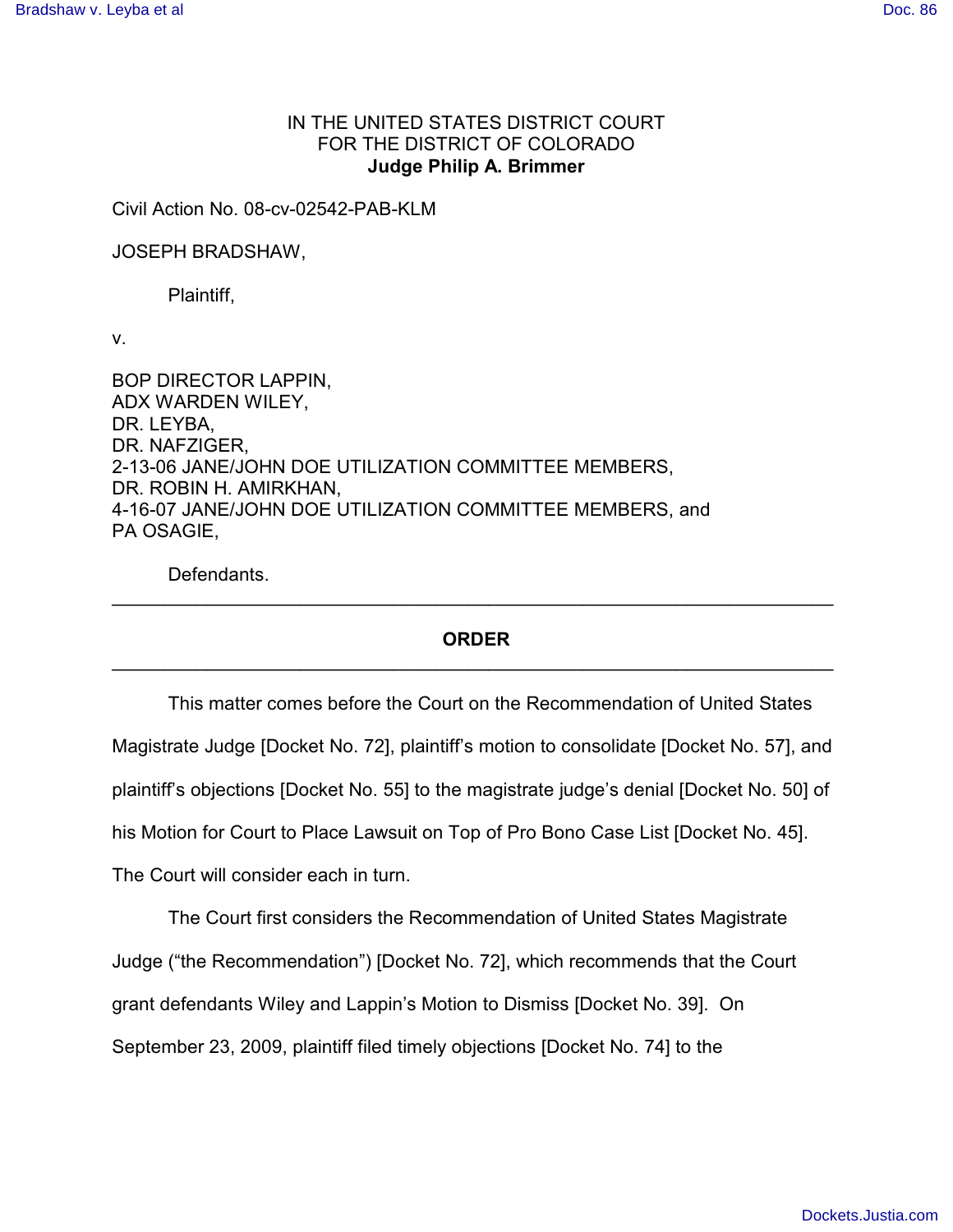## IN THE UNITED STATES DISTRICT COURT FOR THE DISTRICT OF COLORADO **Judge Philip A. Brimmer**

Civil Action No. 08-cv-02542-PAB-KLM

JOSEPH BRADSHAW,

Plaintiff,

v.

BOP DIRECTOR LAPPIN, ADX WARDEN WILEY, DR. LEYBA, DR. NAFZIGER, 2-13-06 JANE/JOHN DOE UTILIZATION COMMITTEE MEMBERS, DR. ROBIN H. AMIRKHAN, 4-16-07 JANE/JOHN DOE UTILIZATION COMMITTEE MEMBERS, and PA OSAGIE,

Defendants.

## **ORDER**  $\mathcal{L}_\text{G}$  , and the contribution of the contribution of the contribution of the contribution of the contribution of the contribution of the contribution of the contribution of the contribution of the contribution of t

\_\_\_\_\_\_\_\_\_\_\_\_\_\_\_\_\_\_\_\_\_\_\_\_\_\_\_\_\_\_\_\_\_\_\_\_\_\_\_\_\_\_\_\_\_\_\_\_\_\_\_\_\_\_\_\_\_\_\_\_\_\_\_\_\_\_\_\_\_

This matter comes before the Court on the Recommendation of United States Magistrate Judge [Docket No. 72], plaintiff's motion to consolidate [Docket No. 57], and plaintiff's objections [Docket No. 55] to the magistrate judge's denial [Docket No. 50] of his Motion for Court to Place Lawsuit on Top of Pro Bono Case List [Docket No. 45]. The Court will consider each in turn.

The Court first considers the Recommendation of United States Magistrate Judge ("the Recommendation") [Docket No. 72], which recommends that the Court grant defendants Wiley and Lappin's Motion to Dismiss [Docket No. 39]. On September 23, 2009, plaintiff filed timely objections [Docket No. 74] to the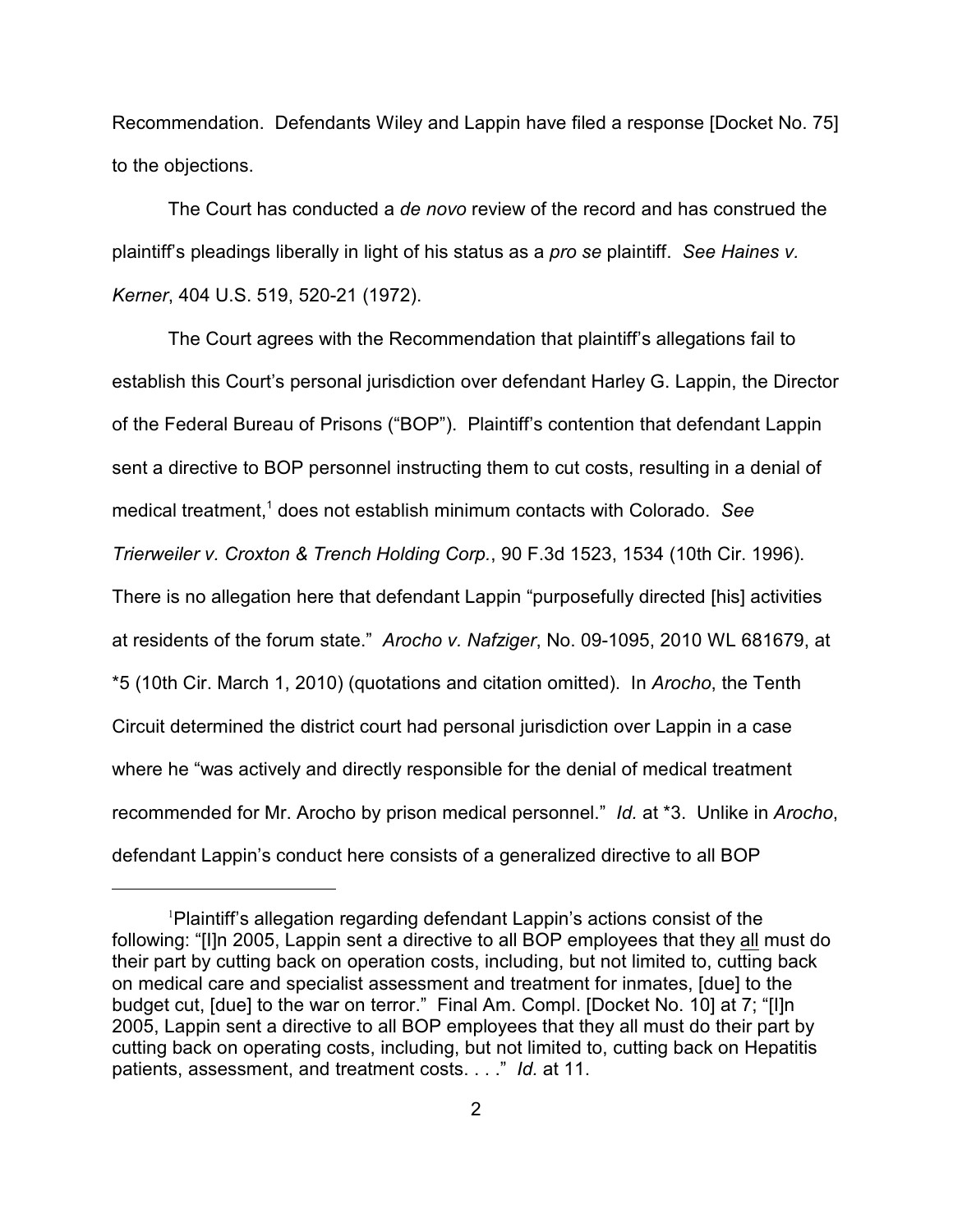Recommendation. Defendants Wiley and Lappin have filed a response [Docket No. 75] to the objections.

The Court has conducted a *de novo* review of the record and has construed the plaintiff's pleadings liberally in light of his status as a *pro se* plaintiff. *See Haines v. Kerner*, 404 U.S. 519, 520-21 (1972).

The Court agrees with the Recommendation that plaintiff's allegations fail to establish this Court's personal jurisdiction over defendant Harley G. Lappin, the Director of the Federal Bureau of Prisons ("BOP"). Plaintiff's contention that defendant Lappin sent a directive to BOP personnel instructing them to cut costs, resulting in a denial of medical treatment,<sup>1</sup> does not establish minimum contacts with Colorado. See *Trierweiler v. Croxton & Trench Holding Corp.*, 90 F.3d 1523, 1534 (10th Cir. 1996). There is no allegation here that defendant Lappin "purposefully directed [his] activities at residents of the forum state." *Arocho v. Nafziger*, No. 09-1095, 2010 WL 681679, at \*5 (10th Cir. March 1, 2010) (quotations and citation omitted). In *Arocho*, the Tenth Circuit determined the district court had personal jurisdiction over Lappin in a case where he "was actively and directly responsible for the denial of medical treatment recommended for Mr. Arocho by prison medical personnel." *Id.* at \*3. Unlike in *Arocho*, defendant Lappin's conduct here consists of a generalized directive to all BOP

 $P$ laintiff's allegation regarding defendant Lappin's actions consist of the following: "[I]n 2005, Lappin sent a directive to all BOP employees that they all must do their part by cutting back on operation costs, including, but not limited to, cutting back on medical care and specialist assessment and treatment for inmates, [due] to the budget cut, [due] to the war on terror." Final Am. Compl. [Docket No. 10] at 7; "[I]n 2005, Lappin sent a directive to all BOP employees that they all must do their part by cutting back on operating costs, including, but not limited to, cutting back on Hepatitis patients, assessment, and treatment costs. . . ." *Id.* at 11.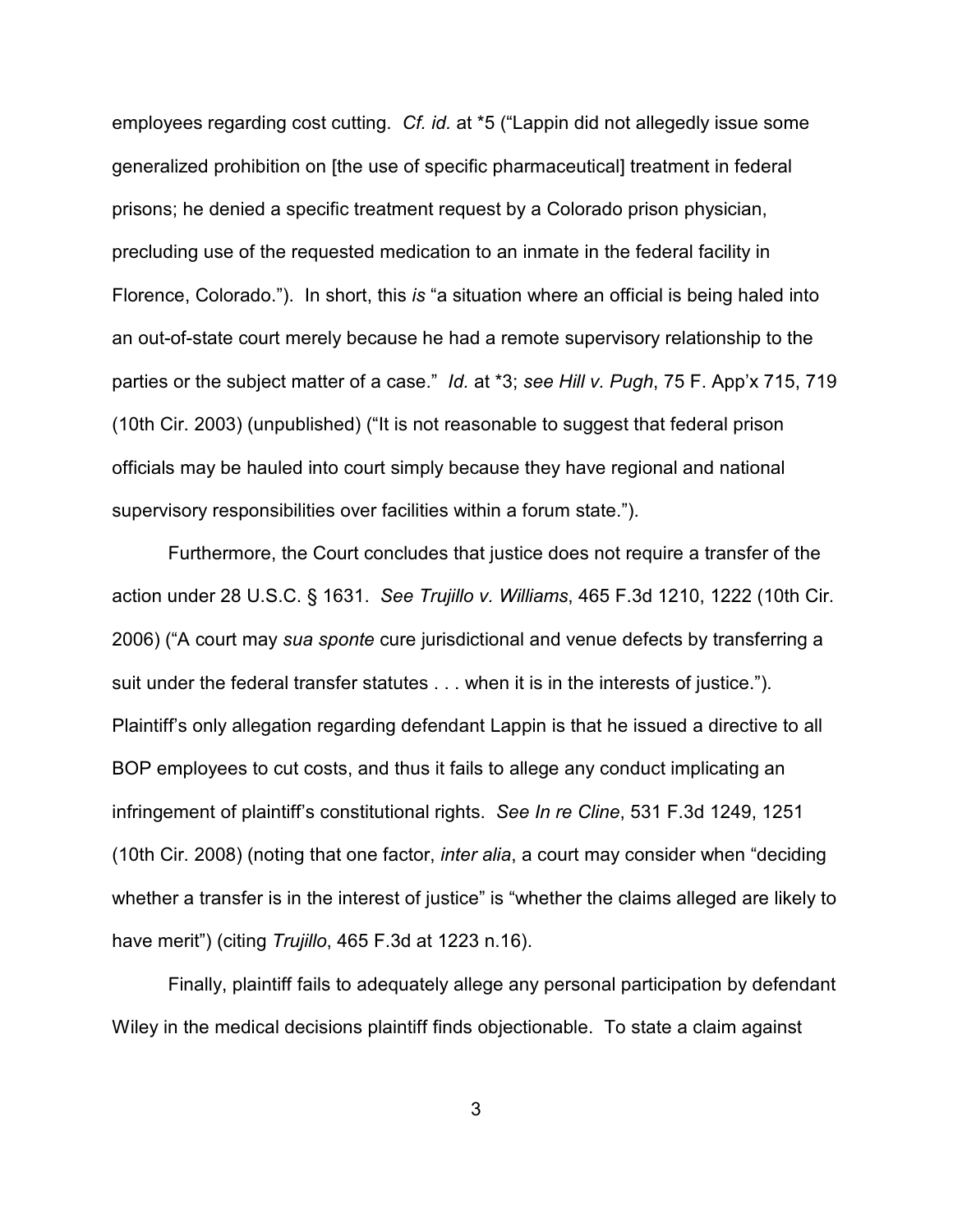employees regarding cost cutting. *Cf. id.* at \*5 ("Lappin did not allegedly issue some generalized prohibition on [the use of specific pharmaceutical] treatment in federal prisons; he denied a specific treatment request by a Colorado prison physician, precluding use of the requested medication to an inmate in the federal facility in Florence, Colorado."). In short, this *is* "a situation where an official is being haled into an out-of-state court merely because he had a remote supervisory relationship to the parties or the subject matter of a case." *Id.* at \*3; *see Hill v. Pugh*, 75 F. App'x 715, 719 (10th Cir. 2003) (unpublished) ("It is not reasonable to suggest that federal prison officials may be hauled into court simply because they have regional and national supervisory responsibilities over facilities within a forum state.").

Furthermore, the Court concludes that justice does not require a transfer of the action under 28 U.S.C. § 1631. *See Trujillo v. Williams*, 465 F.3d 1210, 1222 (10th Cir. 2006) ("A court may *sua sponte* cure jurisdictional and venue defects by transferring a suit under the federal transfer statutes . . . when it is in the interests of justice."). Plaintiff's only allegation regarding defendant Lappin is that he issued a directive to all BOP employees to cut costs, and thus it fails to allege any conduct implicating an infringement of plaintiff's constitutional rights. *See In re Cline*, 531 F.3d 1249, 1251 (10th Cir. 2008) (noting that one factor, *inter alia*, a court may consider when "deciding whether a transfer is in the interest of justice" is "whether the claims alleged are likely to have merit") (citing *Trujillo*, 465 F.3d at 1223 n.16).

Finally, plaintiff fails to adequately allege any personal participation by defendant Wiley in the medical decisions plaintiff finds objectionable. To state a claim against

3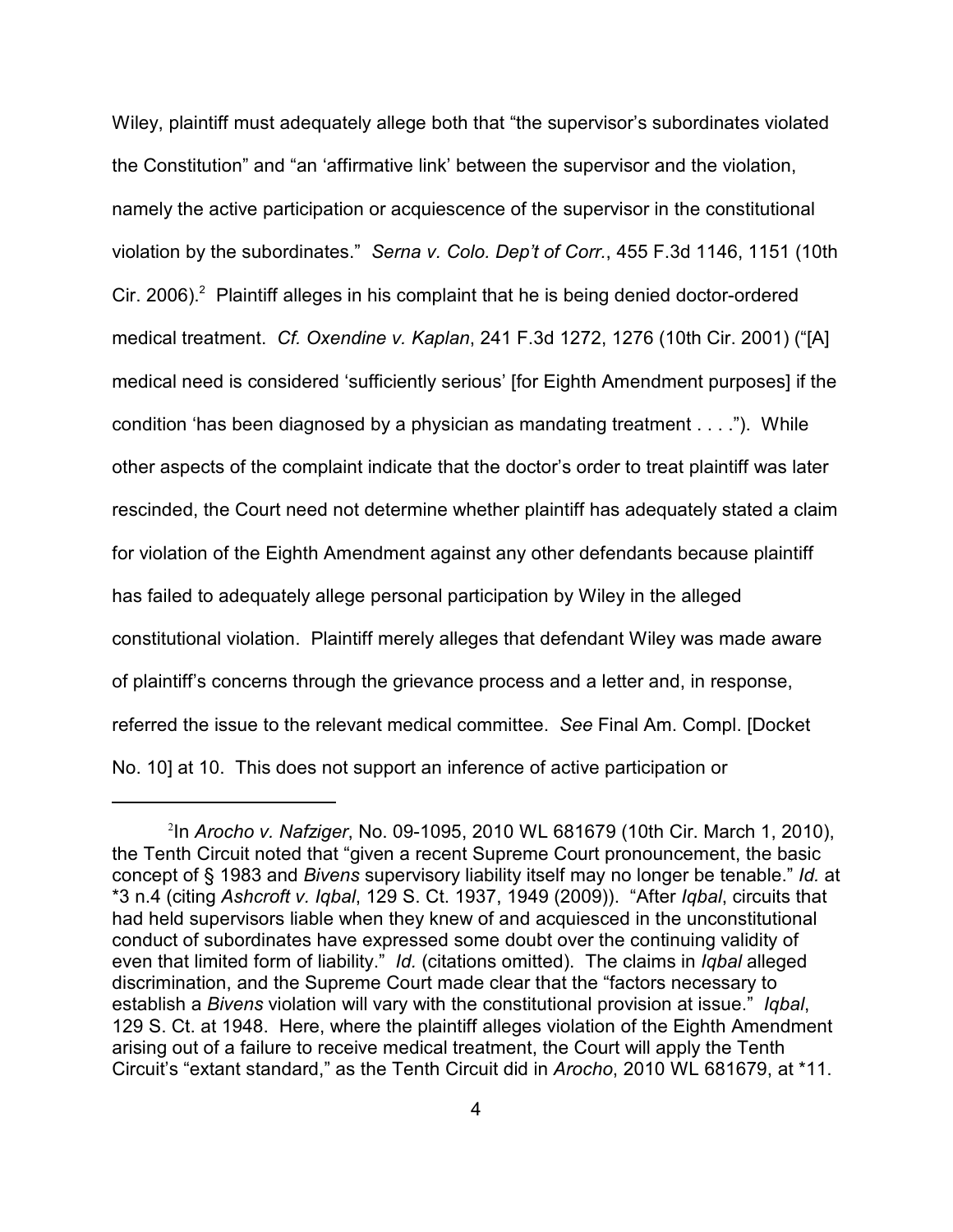Wiley, plaintiff must adequately allege both that "the supervisor's subordinates violated the Constitution" and "an 'affirmative link' between the supervisor and the violation, namely the active participation or acquiescence of the supervisor in the constitutional violation by the subordinates." *Serna v. Colo. Dep't of Corr.*, 455 F.3d 1146, 1151 (10th Cir. 2006). Plaintiff alleges in his complaint that he is being denied doctor-ordered medical treatment. *Cf. Oxendine v. Kaplan*, 241 F.3d 1272, 1276 (10th Cir. 2001) ("[A] medical need is considered 'sufficiently serious' [for Eighth Amendment purposes] if the condition 'has been diagnosed by a physician as mandating treatment . . . ."). While other aspects of the complaint indicate that the doctor's order to treat plaintiff was later rescinded, the Court need not determine whether plaintiff has adequately stated a claim for violation of the Eighth Amendment against any other defendants because plaintiff has failed to adequately allege personal participation by Wiley in the alleged constitutional violation. Plaintiff merely alleges that defendant Wiley was made aware of plaintiff's concerns through the grievance process and a letter and, in response, referred the issue to the relevant medical committee. *See* Final Am. Compl. [Docket No. 10] at 10. This does not support an inference of active participation or

<sup>&</sup>lt;sup>2</sup>In Arocho v. Nafziger, No. 09-1095, 2010 WL 681679 (10th Cir. March 1, 2010), the Tenth Circuit noted that "given a recent Supreme Court pronouncement, the basic concept of § 1983 and *Bivens* supervisory liability itself may no longer be tenable." *Id.* at \*3 n.4 (citing *Ashcroft v. Iqbal*, 129 S. Ct. 1937, 1949 (2009)). "After *Iqbal*, circuits that had held supervisors liable when they knew of and acquiesced in the unconstitutional conduct of subordinates have expressed some doubt over the continuing validity of even that limited form of liability." *Id.* (citations omitted). The claims in *Iqbal* alleged discrimination, and the Supreme Court made clear that the "factors necessary to establish a *Bivens* violation will vary with the constitutional provision at issue." *Iqbal*, 129 S. Ct. at 1948. Here, where the plaintiff alleges violation of the Eighth Amendment arising out of a failure to receive medical treatment, the Court will apply the Tenth Circuit's "extant standard," as the Tenth Circuit did in *Arocho*, 2010 WL 681679, at \*11.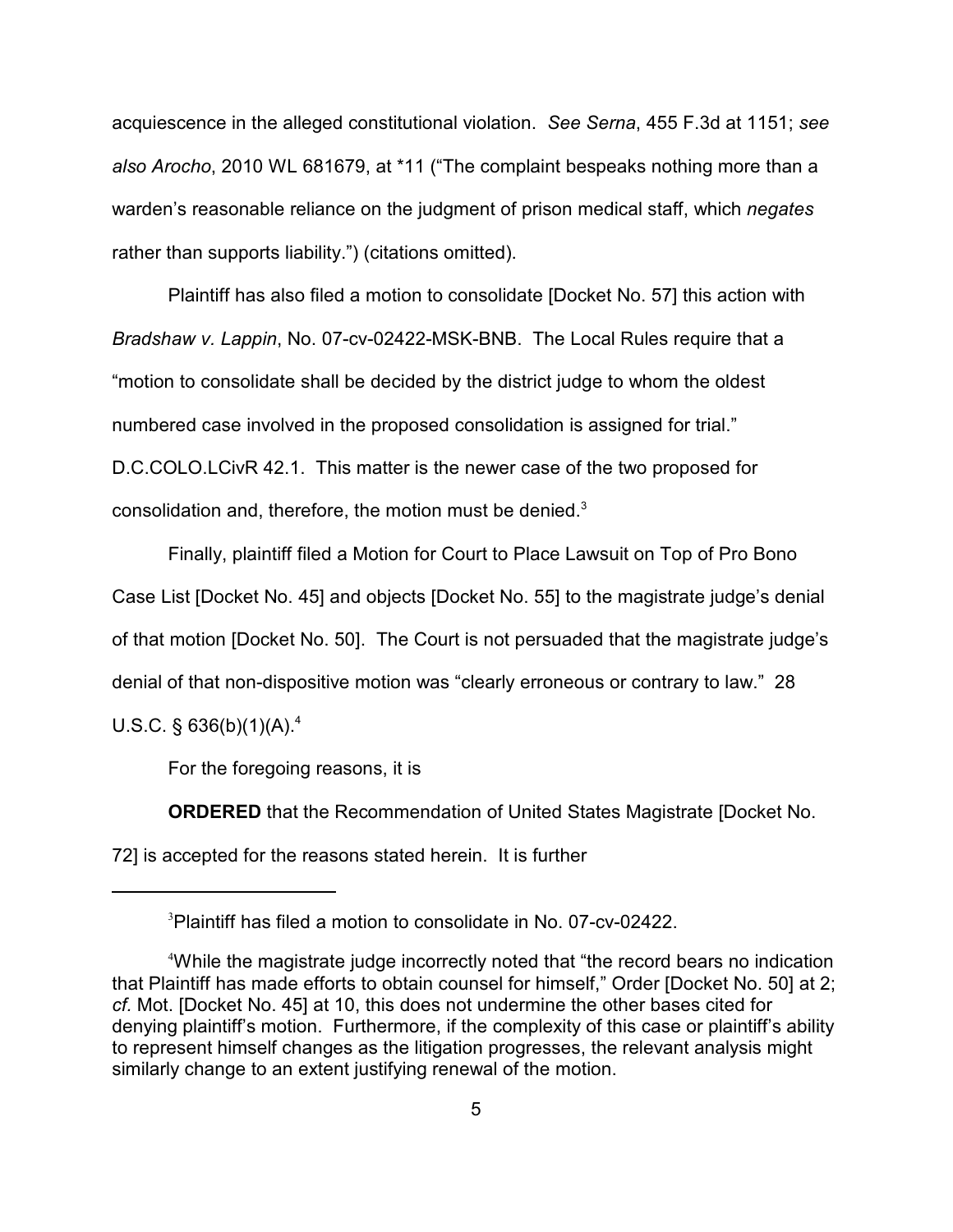acquiescence in the alleged constitutional violation. *See Serna*, 455 F.3d at 1151; *see also Arocho*, 2010 WL 681679, at \*11 ("The complaint bespeaks nothing more than a warden's reasonable reliance on the judgment of prison medical staff, which *negates* rather than supports liability.") (citations omitted).

Plaintiff has also filed a motion to consolidate [Docket No. 57] this action with *Bradshaw v. Lappin*, No. 07-cv-02422-MSK-BNB. The Local Rules require that a "motion to consolidate shall be decided by the district judge to whom the oldest numbered case involved in the proposed consolidation is assigned for trial." D.C.COLO.LCivR 42.1. This matter is the newer case of the two proposed for consolidation and, therefore, the motion must be denied. $3$ 

Finally, plaintiff filed a Motion for Court to Place Lawsuit on Top of Pro Bono Case List [Docket No. 45] and objects [Docket No. 55] to the magistrate judge's denial of that motion [Docket No. 50]. The Court is not persuaded that the magistrate judge's denial of that non-dispositive motion was "clearly erroneous or contrary to law." 28 U.S.C. § 636(b)(1)(A).<sup>4</sup>

For the foregoing reasons, it is

**ORDERED** that the Recommendation of United States Magistrate [Docket No. 72] is accepted for the reasons stated herein. It is further

<sup>&</sup>lt;sup>3</sup>Plaintiff has filed a motion to consolidate in No. 07-cv-02422.

While the magistrate judge incorrectly noted that "the record bears no indication <sup>4</sup> that Plaintiff has made efforts to obtain counsel for himself," Order [Docket No. 50] at 2; *cf.* Mot. [Docket No. 45] at 10, this does not undermine the other bases cited for denying plaintiff's motion. Furthermore, if the complexity of this case or plaintiff's ability to represent himself changes as the litigation progresses, the relevant analysis might similarly change to an extent justifying renewal of the motion.